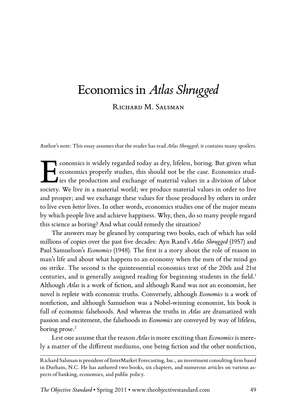# Economics in *Atlas Shrugged*

RICHARD M. SALSMAN

Author's note: This essay assumes that the reader has read *Atlas Shrugged*; it contains many spoilers.

conomics is widely regarded today as dry, lifeless, boring. But given what<br>economics properly studies, this should not be the case. Economics stud-<br>ies the production and exchange of material values in a division of labor<br> economics properly studies, this should not be the case. Economics studies the production and exchange of material values in a division of labor society. We live in a material world; we produce material values in order to live and prosper; and we exchange these values for those produced by others in order to live even *better* lives. In other words, economics studies one of the major means by which people live and achieve happiness. Why, then, do so many people regard this science as boring? And what could remedy the situation?

The answers may be gleaned by comparing two books, each of which has sold millions of copies over the past five decades: Ayn Rand's *Atlas Shrugged* (1957) and Paul Samuelson's *Economics* (1948). The first is a story about the role of reason in man's life and about what happens to an economy when the men of the mind go on strike. The second is the quintessential economics text of the 20th and 21st centuries, and is generally assigned reading for beginning students in the field.<sup>1</sup> Although *Atlas* is a work of fiction, and although Rand was not an economist, her novel is replete with economic truths. Conversely, although *Economics* is a work of nonfiction, and although Samuelson was a Nobel-winning economist, his book is full of economic falsehoods. And whereas the truths in *Atlas* are dramatized with passion and excitement, the falsehoods in *Economics* are conveyed by way of lifeless, boring prose.<sup>2</sup>

Lest one assume that the reason *Atlas* is more exciting than *Economics* is merely a matter of the different mediums, one being fiction and the other nonfiction,

Richard Salsman is president of InterMarket Forecasting, Inc., an investment consulting firm based in Durham, N.C. He has authored two books, six chapters, and numerous articles on various aspects of banking, economics, and public policy.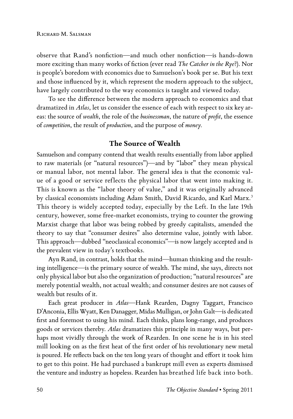observe that Rand's nonfiction—and much other nonfiction—is hands-down more exciting than many works of fiction (ever read *The Catcher in the Rye*?). Nor is people's boredom with economics due to Samuelson's book per se. But his text and those influenced by it, which represent the modern approach to the subject, have largely contributed to the way economics is taught and viewed today.

To see the difference between the modern approach to economics and that dramatized in *Atlas*, let us consider the essence of each with respect to six key areas: the source of *wealth*, the role of the *businessman*, the nature of *profit*, the essence of *competition*, the result of *production*, and the purpose of *money*.

### **The Source of Wealth**

Samuelson and company contend that wealth results essentially from labor applied to raw materials (or "natural resources")—and by "labor" they mean physical or manual labor, not mental labor. The general idea is that the economic value of a good or service reflects the physical labor that went into making it. This is known as the "labor theory of value," and it was originally advanced by classical economists including Adam Smith, David Ricardo, and Karl Marx.<sup>3</sup> This theory is widely accepted today, especially by the Left. In the late 19th century, however, some free-market economists, trying to counter the growing Marxist charge that labor was being robbed by greedy capitalists, amended the theory to say that "consumer desires" also determine value, jointly with labor. This approach—dubbed "neoclassical economics"—is now largely accepted and is the prevalent view in today's textbooks.

Ayn Rand, in contrast, holds that the mind—human thinking and the resulting intelligence—is the primary source of wealth. The mind, she says, directs not only physical labor but also the organization of production; "natural resources" are merely potential wealth, not actual wealth; and consumer desires are not causes of wealth but results of it.

Each great producer in *Atlas*—Hank Rearden, Dagny Taggart, Francisco D'Anconia, Ellis Wyatt, Ken Danagger, Midas Mulligan, or John Galt—is dedicated first and foremost to using his mind. Each thinks, plans long-range, and produces goods or services thereby. *Atlas* dramatizes this principle in many ways, but perhaps most vividly through the work of Rearden. In one scene he is in his steel mill looking on as the first heat of the first order of his revolutionary new metal is poured. He reflects back on the ten long years of thought and effort it took him to get to this point. He had purchased a bankrupt mill even as experts dismissed the venture and industry as hopeless. Rearden has breathed life back into both.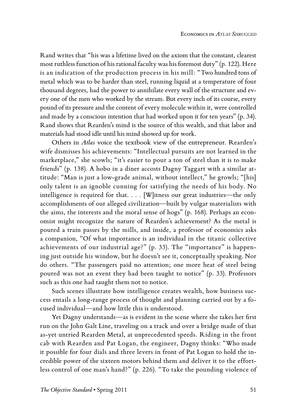Rand writes that "his was a lifetime lived on the axiom that the constant, clearest most ruthless function of his rational faculty was his foremost duty" (p. 122). Here is an indication of the production process in his mill: "Two hundred tons of metal which was to be harder than steel, running liquid at a temperature of four thousand degrees, had the power to annihilate every wall of the structure and every one of the men who worked by the stream. But every inch of its course, every pound of its pressure and the content of every molecule within it, were controlled and made by a conscious intention that had worked upon it for ten years" (p. 34). Rand shows that Rearden's mind is the source of this wealth, and that labor and materials had stood idle until his mind showed up for work.

Others in *Atlas* voice the textbook view of the entrepreneur. Rearden's wife dismisses his achievements: "Intellectual pursuits are not learned in the marketplace," she scowls; "it's easier to pour a ton of steel than it is to make friends" (p. 138). A hobo in a diner accosts Dagny Taggart with a similar attitude: "Man is just a low-grade animal, without intellect," he growls; "[his] only talent is an ignoble cunning for satisfying the needs of his body. No intelligence is required for that. . . . [W]itness our great industries—the only accomplishments of our alleged civilization—built by vulgar materialists with the aims, the interests and the moral sense of hogs" (p. 168). Perhaps an economist might recognize the nature of Rearden's achievement? As the metal is poured a train passes by the mills, and inside, a professor of economics asks a companion, "Of what importance is an individual in the titanic collective achievements of our industrial age?" (p. 33). The "importance" is happening just outside his window, but he doesn't see it, conceptually speaking. Nor do others. "The passengers paid no attention; one more heat of steel being poured was not an event they had been taught to notice" (p. 33). Professors such as this one had taught them not to notice.

Such scenes illustrate how intelligence creates wealth, how business success entails a long-range process of thought and planning carried out by a focused individual—and how little this is understood.

Yet Dagny understands—as is evident in the scene where she takes her first run on the John Galt Line, traveling on a track and over a bridge made of that as-yet untried Rearden Metal, at unprecedented speeds. Riding in the front cab with Rearden and Pat Logan, the engineer, Dagny thinks: "Who made it possible for four dials and three levers in front of Pat Logan to hold the incredible power of the sixteen motors behind them and deliver it to the effortless control of one man's hand?" (p. 226). "To take the pounding violence of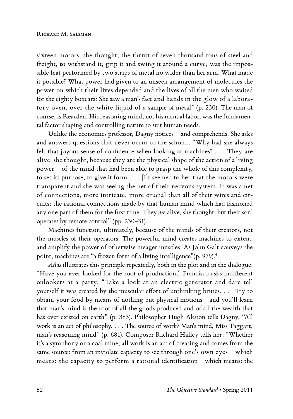sixteen motors, she thought, the thrust of seven thousand tons of steel and freight, to withstand it, grip it and swing it around a curve, was the impossible feat performed by two strips of metal no wider than her arm. What made it possible? What power had given to an unseen arrangement of molecules the power on which their lives depended and the lives of all the men who waited for the eighty boxcars? She saw a man's face and hands in the glow of a laboratory oven, over the white liquid of a sample of metal" (p. 230). The man of course, is Rearden. His reasoning mind, not his manual labor, was the fundamental factor shaping and controlling nature to suit human needs.

Unlike the economics professor, Dagny notices—and comprehends. She asks and answers questions that never occur to the scholar. "Why had she always felt that joyous sense of confidence when looking at machines? . . . They are alive, she thought, because they are the physical shape of the action of a living power—of the mind that had been able to grasp the whole of this complexity, to set its purpose, to give it form.  $\ldots$  [I]t seemed to her that the motors were transparent and she was seeing the net of their nervous system. It was a net of connections, more intricate, more crucial than all of their wires and circuits: the rational connections made by that human mind which had fashioned any one part of them for the first time. They *are* alive, she thought, but their soul operates by remote control" (pp. 230–31).

Machines function, ultimately, because of the minds of their creators, not the muscles of their operators. The powerful mind creates machines to extend and amplify the power of otherwise meager muscles. As John Galt conveys the point, machines are "a frozen form of a living intelligence" (p. 979).<sup>4</sup>

*Atlas* illustrates this principle repeatedly, both in the plot and in the dialogue. "Have you ever looked for the root of production," Francisco asks indifferent onlookers at a party. "Take a look at an electric generator and dare tell yourself it was created by the muscular effort of unthinking brutes. . . . Try to obtain your food by means of nothing but physical motions—and you'll learn that man's mind is the root of all the goods produced and of all the wealth that has ever existed on earth" (p. 383). Philosopher Hugh Akston tells Dagny, "All work is an act of philosophy. . . . The source of work? Man's mind, Miss Taggart, man's reasoning mind" (p. 681). Composer Richard Halley tells her: "Whether it's a symphony or a coal mine, all work is an act of creating and comes from the same source: from an inviolate capacity to see through one's own eyes—which means: the capacity to perform a rational identification—which means: the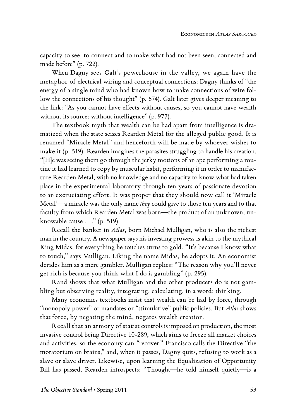capacity to see, to connect and to make what had not been seen, connected and made before" (p. 722).

When Dagny sees Galt's powerhouse in the valley, we again have the metaphor of electrical wiring and conceptual connections: Dagny thinks of "the energy of a single mind who had known how to make connections of wire follow the connections of his thought" (p. 674). Galt later gives deeper meaning to the link: "As you cannot have effects without causes, so you cannot have wealth without its source: without intelligence" (p. 977).

The textbook myth that wealth can be had apart from intelligence is dramatized when the state seizes Rearden Metal for the alleged public good. It is renamed "Miracle Metal" and henceforth will be made by whoever wishes to make it (p. 519). Rearden imagines the parasites struggling to handle his creation. "[H]e was seeing them go through the jerky motions of an ape performing a routine it had learned to copy by muscular habit, performing it in order to manufacture Rearden Metal, with no knowledge and no capacity to know what had taken place in the experimental laboratory through ten years of passionate devotion to an excruciating effort. It was proper that they should now call it 'Miracle Metal'—a miracle was the only name *they* could give to those ten years and to that faculty from which Rearden Metal was born—the product of an unknown, unknowable cause . . ." (p. 519).

Recall the banker in *Atlas*, born Michael Mulligan, who is also the richest man in the country. A newspaper says his investing prowess is akin to the mythical King Midas, for everything he touches turns to gold. "It's because I know what to touch," says Mulligan. Liking the name Midas, he adopts it. An economist derides him as a mere gambler. Mulligan replies: "The reason why you'll never get rich is because you think what I do is gambling" (p. 295).

Rand shows that what Mulligan and the other producers do is not gambling but observing reality, integrating, calculating, in a word: thinking.

Many economics textbooks insist that wealth can be had by force, through "monopoly power" or mandates or "stimulative" public policies. But *Atlas* shows that force, by negating the mind, negates wealth creation.

Recall that an armory of statist controls is imposed on production, the most invasive control being Directive 10-289, which aims to freeze all market choices and activities, so the economy can "recover." Francisco calls the Directive "the moratorium on brains," and, when it passes, Dagny quits, refusing to work as a slave or slave driver. Likewise, upon learning the Equalization of Opportunity Bill has passed, Rearden introspects: "Thought—he told himself quietly—is a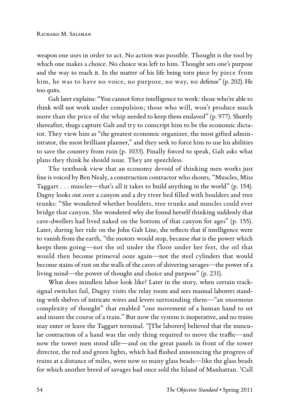weapon one uses in order to act. No action was possible. Thought is the tool by which one makes a choice. No choice was left to him. Thought sets one's purpose and the way to reach it. In the matter of his life being torn piece by piece from him, he was to have no voice, no purpose, no way, no defense" (p. 202). He too quits.

Galt later explains: "You cannot force intelligence to work: those who're able to think will not work under compulsion; those who will, won't produce much more than the price of the whip needed to keep them enslaved" (p. 977). Shortly thereafter, thugs capture Galt and try to conscript him to be the economic dictator. They view him as "the greatest economic organizer, the most gifted administrator, the most brilliant planner," and they seek to force him to use his abilities to save the country from ruin (p. 1033). Finally forced to speak, Galt asks what plans they think he should issue. They are speechless.

The textbook view that an economy devoid of thinking men works just fine is voiced by Ben Nealy, a construction contractor who shouts, "Muscles, Miss Taggart . . . muscles—that's all it takes to build anything in the world" (p. 154). Dagny looks out over a canyon and a dry river bed filled with boulders and tree trunks: "She wondered whether boulders, tree trunks and muscles could ever bridge that canyon. She wondered why she found herself thinking suddenly that cave-dwellers had lived naked on the bottom of that canyon for ages" (p. 155). Later, during her ride on the John Galt Line, she reflects that if intelligence were to vanish from the earth, "the motors would stop, because *that* is the power which keeps them going—not the oil under the floor under her feet, the oil that would then become primeval ooze again—not the steel cylinders that would become stains of rust on the walls of the caves of shivering savages—the power of a living mind—the power of thought and choice and purpose" (p. 231).

What does mindless labor look like? Later in the story, when certain tracksignal switches fail, Dagny visits the relay room and sees manual laborers standing with shelves of intricate wires and levers surrounding them—"an enormous complexity of thought" that enabled "one movement of a human hand to set and insure the course of a train." But now the system is inoperative, and no trains may enter or leave the Taggart terminal. "[The laborers] believed that the muscular contraction of a hand was the only thing required to move the traffic—and now the tower men stood idle—and on the great panels in front of the tower director, the red and green lights, which had flashed announcing the progress of trains at a distance of miles, were now so many glass beads—like the glass beads for which another breed of savages had once sold the Island of Manhattan. 'Call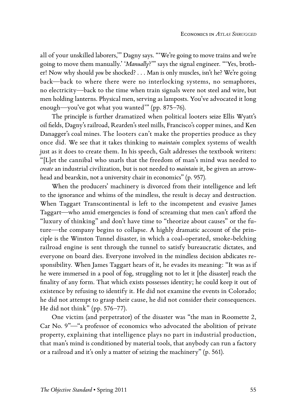all of your unskilled laborers,'" Dagny says. "'We're going to move trains and we're going to move them manually.' '*Manually*?'" says the signal engineer. "'Yes, brother! Now why should *you* be shocked? . . . Man is only muscles, isn't he? We're going back—back to where there were no interlocking systems, no semaphores, no electricity—back to the time when train signals were not steel and wire, but men holding lanterns. Physical men, serving as lamposts. You've advocated it long enough—you've got what you wanted'" (pp. 875–76).

The principle is further dramatized when political looters seize Ellis Wyatt's oil fields, Dagny's railroad, Rearden's steel mills, Francisco's copper mines, and Ken Danagger's coal mines. The looters can't make the properties produce as they once did. We see that it takes thinking to *maintain* complex systems of wealth just as it does to create them. In his speech, Galt addresses the textbook writers: "[L]et the cannibal who snarls that the freedom of man's mind was needed to *create* an industrial civilization, but is not needed to *maintain* it, be given an arrowhead and bearskin, not a university chair in economics" (p. 957).

When the producers' machinery is divorced from their intelligence and left to the ignorance and whims of the mindless, the result is decay and destruction. When Taggart Transcontinental is left to the incompetent and evasive James Taggart—who amid emergencies is fond of screaming that men can't afford the "luxury of thinking" and don't have time to "theorize about causes" or the future—the company begins to collapse. A highly dramatic account of the principle is the Winston Tunnel disaster, in which a coal-operated, smoke-belching railroad engine is sent through the tunnel to satisfy bureaucratic dictates, and everyone on board dies. Everyone involved in the mindless decision abdicates responsibility. When James Taggart hears of it, he evades its meaning: "It was as if he were immersed in a pool of fog, struggling not to let it [the disaster] reach the finality of any form. That which exists possesses identity; he could keep it out of existence by refusing to identify it. He did not examine the events in Colorado; he did not attempt to grasp their cause, he did not consider their consequences. He did not think" (pp. 576–77).

One victim (and perpetrator) of the disaster was "the man in Roomette 2, Car No. 9"—"a professor of economics who advocated the abolition of private property, explaining that intelligence plays no part in industrial production, that man's mind is conditioned by material tools, that anybody can run a factory or a railroad and it's only a matter of seizing the machinery" (p. 561).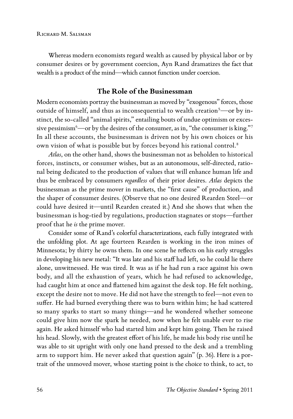Whereas modern economists regard wealth as caused by physical labor or by consumer desires or by government coercion, Ayn Rand dramatizes the fact that wealth is a product of the mind—which cannot function under coercion.

#### **The Role of the Businessman**

Modern economists portray the businessman as moved by "exogenous" forces, those outside of himself, and thus as inconsequential to wealth creation<sup>5</sup>—or by instinct, the so-called "animal spirits," entailing bouts of undue optimism or excessive pessimism $^6\!-\!$ or by the desires of the consumer, as in, "the consumer is king." $^7$ In all these accounts, the businessman is driven not by his own choices or his own vision of what is possible but by forces beyond his rational control.<sup>8</sup>

*Atlas*, on the other hand, shows the businessman not as beholden to historical forces, instincts, or consumer wishes, but as an autonomous, self-directed, rational being dedicated to the production of values that will enhance human life and thus be embraced by consumers *regardless* of their prior desires. *Atlas* depicts the businessman as the prime mover in markets, the "first cause" of production, and the shaper of consumer desires. (Observe that no one desired Rearden Steel—or could have desired it—until Rearden created it.) And she shows that when the businessman is hog-tied by regulations, production stagnates or stops—further proof that he *is* the prime mover.

Consider some of Rand's colorful characterizations, each fully integrated with the unfolding plot. At age fourteen Rearden is working in the iron mines of Minnesota; by thirty he owns them. In one scene he reflects on his early struggles in developing his new metal: "It was late and his staff had left, so he could lie there alone, unwitnessed. He was tired. It was as if he had run a race against his own body, and all the exhaustion of years, which he had refused to acknowledge, had caught him at once and flattened him against the desk top. He felt nothing, except the desire not to move. He did not have the strength to feel—not even to suffer. He had burned everything there was to burn within him; he had scattered so many sparks to start so many things—and he wondered whether someone could give him now the spark he needed, now when he felt unable ever to rise again. He asked himself who had started him and kept him going. Then he raised his head. Slowly, with the greatest effort of his life, he made his body rise until he was able to sit upright with only one hand pressed to the desk and a trembling arm to support him. He never asked that question again" (p. 36). Here is a portrait of the unmoved mover, whose starting point is the choice to think, to act, to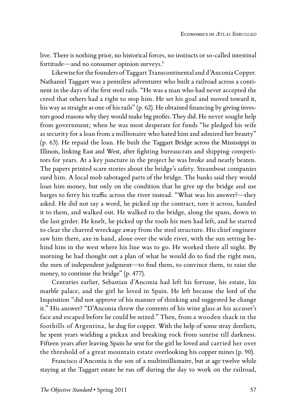live. There is nothing prior, no historical forces, no instincts or so-called intestinal fortitude—and no consumer opinion surveys.<sup>9</sup>

Likewise for the founders of Taggart Transcontinental and d'Anconia Copper. Nathaniel Taggart was a penniless adventurer who built a railroad across a continent in the days of the first steel rails. "He was a man who had never accepted the creed that others had a right to stop him. He set his goal and moved toward it, his way as straight as one of his rails" (p. 62). He obtained financing by giving investors good reasons why they would make big profits. They did. He never sought help from government; when he was most desperate for funds "he pledged his wife as security for a loan from a millionaire who hated him and admired her beauty" (p. 63). He repaid the loan. He built the Taggart Bridge across the Mississippi in Illinois, linking East and West, after fighting bureaucrats and shipping competitors for years. At a key juncture in the project he was broke and nearly beaten. The papers printed scare stories about the bridge's safety. Steamboat companies sued him. A local mob sabotaged parts of the bridge. The banks said they would loan him money, but only on the condition that he give up the bridge and use barges to ferry his traffic across the river instead. "What was his answer?—they asked. He did not say a word, he picked up the contract, tore it across, handed it to them, and walked out. He walked to the bridge, along the spans, down to the last girder. He knelt, he picked up the tools his men had left, and he started to clear the charred wreckage away from the steel structure. His chief engineer saw him there, axe in hand, alone over the wide river, with the sun setting behind him in the west where his line was to go. He worked there all night. By morning he had thought out a plan of what he would do to find the right men, the men of independent judgment—to find them, to convince them, to raise the money, to continue the bridge" (p. 477).

Centuries earlier, Sebastian d'Anconia had left his fortune, his estate, his marble palace, and the girl he loved in Spain. He left because the lord of the Inquisition "did not approve of his manner of thinking and suggested he change it." His answer? "D'Anconia threw the contents of his wine glass at his accuser's face and escaped before he could be seized." Then, from a wooden shack in the foothills of Argentina, he dug for copper. With the help of some stray derelicts, he spent years wielding a pickax and breaking rock from sunrise till darkness. Fifteen years after leaving Spain he sent for the girl he loved and carried her over the threshold of a great mountain estate overlooking his copper mines (p. 90).

Francisco d'Anconia is the son of a multimillionaire, but at age twelve while staying at the Taggart estate he ran off during the day to work on the railroad,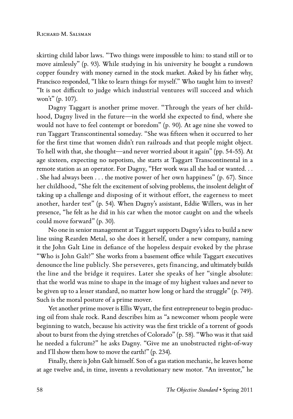skirting child labor laws. "Two things were impossible to him: to stand still or to move aimlessly" (p. 93). While studying in his university he bought a rundown copper foundry with money earned in the stock market. Asked by his father why, Francisco responded, "I like to learn things for myself." Who taught him to invest? "It is not difficult to judge which industrial ventures will succeed and which won't" (p. 107).

Dagny Taggart is another prime mover. "Through the years of her childhood, Dagny lived in the future—in the world she expected to find, where she would not have to feel contempt or boredom" (p. 90). At age nine she vowed to run Taggart Transcontinental someday. "She was fifteen when it occurred to her for the first time that women didn't run railroads and that people might object. To hell with that, she thought—and never worried about it again" (pp. 54-55). At age sixteen, expecting no nepotism, she starts at Taggart Transcontinental in a remote station as an operator. For Dagny, "Her work was all she had or wanted. . . . She had always been . . . the motive power of her own happiness" (p. 67). Since her childhood, "She felt the excitement of solving problems, the insolent delight of taking up a challenge and disposing of it without effort, the eagerness to meet another, harder test" (p. 54). When Dagny's assistant, Eddie Willers, was in her presence, "he felt as he did in his car when the motor caught on and the wheels could move forward" (p. 30).

No one in senior management at Taggart supports Dagny's idea to build a new line using Rearden Metal, so she does it herself, under a new company, naming it the John Galt Line in defiance of the hopeless despair evoked by the phrase "Who is John Galt?" She works from a basement office while Taggart executives denounce the line publicly. She perseveres, gets financing, and ultimately builds the line and the bridge it requires. Later she speaks of her "single absolute: that the world was mine to shape in the image of my highest values and never to be given up to a lesser standard, no matter how long or hard the struggle" (p. 749). Such is the moral posture of a prime mover.

Yet another prime mover is Ellis Wyatt, the first entrepreneur to begin producing oil from shale rock. Rand describes him as "a newcomer whom people were beginning to watch, because his activity was the first trickle of a torrent of goods about to burst from the dying stretches of Colorado" (p. 58). "Who was it that said he needed a fulcrum?" he asks Dagny. "Give me an unobstructed right-of-way and I'll show them how to move the earth!" (p. 234).

Finally, there is John Galt himself. Son of a gas station mechanic, he leaves home at age twelve and, in time, invents a revolutionary new motor. "An inventor," he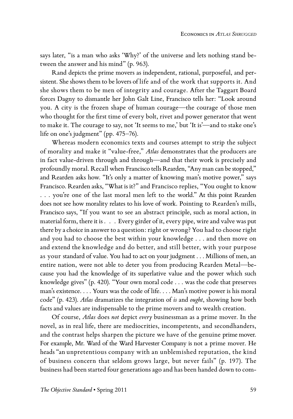says later, "is a man who asks 'Why?' of the universe and lets nothing stand between the answer and his mind" (p. 963).

Rand depicts the prime movers as independent, rational, purposeful, and persistent. She shows them to be lovers of life and of the work that supports it. And she shows them to be men of integrity and courage. After the Taggart Board forces Dagny to dismantle her John Galt Line, Francisco tells her: "Look around you. A city is the frozen shape of human courage—the courage of those men who thought for the first time of every bolt, rivet and power generator that went to make it. The courage to say, not 'It seems to me,' but 'It is'—and to stake one's life on one's judgment" (pp. 475–76).

Whereas modern economics texts and courses attempt to strip the subject of morality and make it "value-free," *Atlas* demonstrates that the producers are in fact value-driven through and through—and that their work is precisely and profoundly moral. Recall when Francisco tells Rearden, "Any man can be stopped," and Rearden asks how. "It's only a matter of knowing man's motive power," says Francisco. Rearden asks, "What is it?" and Francisco replies, "You ought to know . . . you're one of the last moral men left to the world." At this point Rearden does not see how morality relates to his love of work. Pointing to Rearden's mills, Francisco says, "If you want to see an abstract principle, such as moral action, in material form, there it is . . . Every girder of it, every pipe, wire and valve was put there by a choice in answer to a question: right or wrong? You had to choose right and you had to choose the best within your knowledge . . . and then move on and extend the knowledge and do better, and still better, with your purpose as your standard of value. You had to act on your judgment . . . Millions of men, an entire nation, were not able to deter you from producing Rearden Metal—because you had the knowledge of its superlative value and the power which such knowledge gives" (p. 420). "Your own moral code . . . was the code that preserves man's existence. . . . Yours was the code of life. . . . Man's motive power is his moral code" (p. 423). *Atlas* dramatizes the integration of *is* and *ought*, showing how both facts and values are indispensable to the prime movers and to wealth creation.

Of course, *Atlas* does *not* depict *every* businessman as a prime mover. In the novel, as in real life, there are mediocrities, incompetents, and secondhanders, and the contrast helps sharpen the picture we have of the genuine prime mover. For example, Mr. Ward of the Ward Harvester Company is not a prime mover. He heads "an unpretentious company with an unblemished reputation, the kind of business concern that seldom grows large, but never fails" (p. 197). The business had been started four generations ago and has been handed down to com-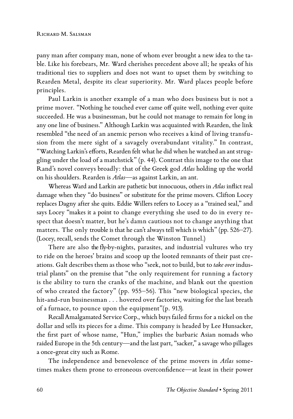pany man after company man, none of whom ever brought a new idea to the table. Like his forebears, Mr. Ward cherishes precedent above all; he speaks of his traditional ties to suppliers and does not want to upset them by switching to Rearden Metal, despite its clear superiority. Mr. Ward places people before principles.

Paul Larkin is another example of a man who does business but is not a prime mover. "Nothing he touched ever came off quite well, nothing ever quite succeeded. He was a businessman, but he could not manage to remain for long in any one line of business." Although Larkin was acquainted with Rearden, the link resembled "the need of an anemic person who receives a kind of living transfusion from the mere sight of a savagely overabundant vitality." In contrast, "Watching Larkin's efforts, Rearden felt what he did when he watched an ant struggling under the load of a matchstick" (p. 44). Contrast this image to the one that Rand's novel conveys broadly: that of the Greek god *Atlas* holding up the world on his shoulders. Rearden is *Atlas*—as against Larkin, an ant.

Whereas Ward and Larkin are pathetic but innocuous, others in *Atlas* inflict real damage when they "do business" or substitute for the prime movers. Clifton Locey replaces Dagny after she quits. Eddie Willers refers to Locey as a "trained seal," and says Locey "makes it a point to change everything she used to do in every respect that doesn't matter, but he's damn cautious not to change anything that matters. The only trouble is that he can't always tell which is which" (pp. 526–27). (Locey, recall, sends the Comet through the Winston Tunnel.)

There are also the fly-by-nights, parasites, and industrial vultures who try to ride on the heroes' brains and scoop up the looted remnants of their past creations. Galt describes them as those who "seek, not to build, but to *take over* industrial plants" on the premise that "the only requirement for running a factory is the ability to turn the cranks of the machine, and blank out the question of who created the factory" (pp. 955–56). This "new biological species, the hit-and-run businessman . . . hovered over factories, waiting for the last breath of a furnace, to pounce upon the equipment"(p. 913).

Recall Amalgamated Service Corp., which buys failed firms for a nickel on the dollar and sells its pieces for a dime. This company is headed by Lee Hunsacker, the first part of whose name, "Hun," implies the barbaric Asian nomads who raided Europe in the 5th century—and the last part, "sacker," a savage who pillages a once-great city such as Rome.

The independence and benevolence of the prime movers in *Atlas* sometimes makes them prone to erroneous overconfidence—at least in their power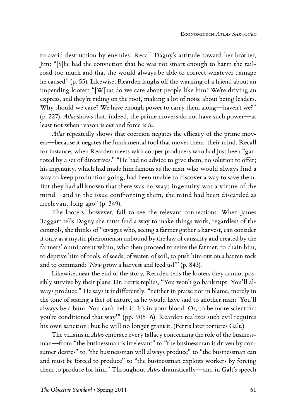to avoid destruction by enemies. Recall Dagny's attitude toward her brother, Jim: "[S]he had the conviction that he was not smart enough to harm the railroad too much and that she would always be able to correct whatever damage he caused" (p. 55). Likewise, Rearden laughs off the warning of a friend about an impending looter: "[W]hat do we care about people like him? We're driving an express, and they're riding on the roof, making a lot of noise about being leaders. Why should we care? We have enough power to carry them along—haven't we?" (p. 227). *Atlas* shows that, indeed, the prime movers do not have such power—at least not when reason is *out* and force is *in*.

*Atlas* repeatedly shows that coercion negates the efficacy of the prime movers—because it negates the fundamental tool that moves them: their mind. Recall for instance, when Rearden meets with copper producers who had just been "garroted by a set of directives." "He had no advice to give them, no solution to offer; his ingenuity, which had made him famous as the man who would always find a way to keep production going, had been unable to discover a way to save them. But they had all known that there was no way; ingenuity was a virtue of the mind—and in the issue confronting them, the mind had been discarded as irrelevant long ago" (p. 349).

The looters, however, fail to see the relevant connections. When James Taggart tells Dagny she must find a way to make things work, regardless of the controls, she thinks of "savages who, seeing a farmer gather a harvest, can consider it only as a mystic phenomenon unbound by the law of causality and created by the farmers' omnipotent whim, who then proceed to seize the farmer, to chain him, to deprive him of tools, of seeds, of water, of soil**,** to push him out on a barren rock and to command: '*Now* grow a harvest and feed us!'" (p. 843).

Likewise, near the end of the story, Rearden tells the looters they cannot possibly survive by their plans. Dr. Ferris replies, "You won't go bankrupt. You'll always produce." He says it indifferently, "neither in praise nor in blame, merely in the tone of stating a fact of nature, as he would have said to another man: 'You'll always be a bum. You can't help it. It's in your blood. Or, to be more scientific: you're conditioned that way'" (pp. 905–6). Rearden realizes such evil requires his own sanction; but he will no longer grant it. (Ferris later tortures Galt.)

The villains in *Atlas* embrace every fallacy concerning the role of the businessman—from "the businessman is irrelevant" to "the businessman is driven by consumer desires" to "the businessman will always produce" to "the businessman can and must be forced to produce" to "the businessman exploits workers by forcing them to produce for him." Throughout *Atlas* dramatically—and in Galt's speech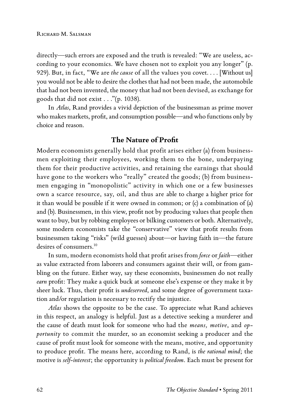directly—such errors are exposed and the truth is revealed: "We are useless, according to your economics. We have chosen not to exploit you any longer" (p. 929). But, in fact, "We are *the cause* of all the values you covet. . . . [Without us] you would not be able to desire the clothes that had not been made, the automobile that had not been invented, the money that had not been devised, as exchange for goods that did not exist . . ."(p. 1038).

In *Atlas*, Rand provides a vivid depiction of the businessman as prime mover who makes markets, profit, and consumption possible—and who functions only by choice and reason.

# **The Nature of Profit**

Modern economists generally hold that profit arises either (a) from businessmen exploiting their employees, working them to the bone, underpaying them for their productive activities, and retaining the earnings that should have gone to the workers who "really" created the goods; (b) from businessmen engaging in "monopolistic" activity in which one or a few businesses own a scarce resource, say, oil, and thus are able to charge a higher price for it than would be possible if it were owned in common; or (c) a combination of (a) and (b). Businessmen, in this view, profit not by producing values that people then want to buy, but by robbing employees or bilking customers or both. Alternatively, some modern economists take the "conservative" view that profit results from businessmen taking "risks" (wild guesses) about—or having faith in—the future desires of consumers.<sup>10</sup>

In sum, modern economists hold that profit arises from *force* or *faith*—either as value extracted from laborers and consumers against their will, or from gambling on the future. Either way, say these economists, businessmen do not really *earn* profit: They make a quick buck at someone else's expense or they make it by sheer luck. Thus, their profit is *undeserved*, and some degree of government taxation and/or regulation is necessary to rectify the injustice.

*Atlas* shows the opposite to be the case. To appreciate what Rand achieves in this respect, an analogy is helpful. Just as a detective seeking a murderer and the cause of death must look for someone who had the *means, motive*, and *opportunity* to commit the murder, so an economist seeking a producer and the cause of profit must look for someone with the means, motive, and opportunity to produce profit. The means here, according to Rand, is *the rational mind*; the motive is *self-interest*; the opportunity is *political freedom*. Each must be present for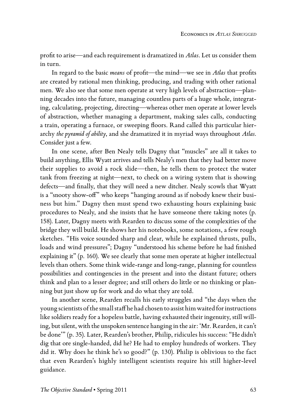profit to arise—and each requirement is dramatized in *Atlas*. Let us consider them in turn.

In regard to the basic *means* of profit—the mind—we see in *Atlas* that profits are created by rational men thinking, producing, and trading with other rational men. We also see that some men operate at very high levels of abstraction—planning decades into the future, managing countless parts of a huge whole, integrating, calculating, projecting, directing—whereas other men operate at lower levels of abstraction, whether managing a department, making sales calls, conducting a train, operating a furnace, or sweeping floors. Rand called this particular hierarchy *the pyramid of ability*, and she dramatized it in myriad ways throughout *Atlas*. Consider just a few.

In one scene, after Ben Nealy tells Dagny that "muscles" are all it takes to build anything, Ellis Wyatt arrives and tells Nealy's men that they had better move their supplies to avoid a rock slide—then, he tells them to protect the water tank from freezing at night—next, to check on a wiring system that is showing defects—and finally, that they will need a new ditcher. Nealy scowls that Wyatt is a "snooty show-off" who keeps "hanging around as if nobody knew their business but him." Dagny then must spend two exhausting hours explaining basic procedures to Nealy, and she insists that he have someone there taking notes (p. 158). Later, Dagny meets with Rearden to discuss some of the complexities of the bridge they will build. He shows her his notebooks, some notations, a few rough sketches. "His voice sounded sharp and clear, while he explained thrusts, pulls, loads and wind pressures"; Dagny "understood his scheme before he had finished explaining it" (p. 160). We see clearly that some men operate at higher intellectual levels than others. Some think wide-range and long-range, planning for countless possibilities and contingencies in the present and into the distant future; others think and plan to a lesser degree; and still others do little or no thinking or planning but just show up for work and do what they are told.

In another scene, Rearden recalls his early struggles and "the days when the young scientists of the small staff he had chosen to assist him waited for instructions like soldiers ready for a hopeless battle, having exhausted their ingenuity, still willing, but silent, with the unspoken sentence hanging in the air: 'Mr. Rearden, it can't be done'" (p. 35). Later, Rearden's brother, Philip, ridicules his success: "He didn't dig that ore single-handed, did he? He had to employ hundreds of workers. They did it. Why does he think he's so good?" (p. 130). Philip is oblivious to the fact that even Rearden's highly intelligent scientists require his still higher-level guidance.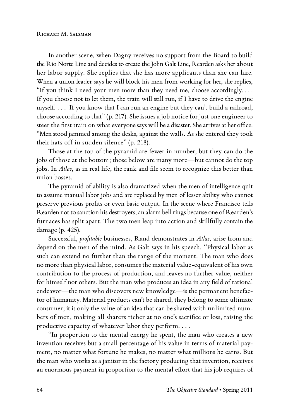In another scene, when Dagny receives no support from the Board to build the Rio Norte Line and decides to create the John Galt Line, Rearden asks her about her labor supply. She replies that she has more applicants than she can hire. When a union leader says he will block his men from working for her, she replies, "If you think I need your men more than they need me, choose accordingly. . . . If you choose not to let them, the train will still run, if I have to drive the engine myself. . . . If you know that I can run an engine but they can't build a railroad, choose according to that" (p. 217). She issues a job notice for just one engineer to steer the first train on what everyone says will be a disaster. She arrives at her office. "Men stood jammed among the desks, against the walls. As she entered they took their hats off in sudden silence" (p. 218).

Those at the top of the pyramid are fewer in number, but they can do the jobs of those at the bottom; those below are many more—but cannot do the top jobs. In *Atlas*, as in real life, the rank and file seem to recognize this better than union bosses.

The pyramid of ability is also dramatized when the men of intelligence quit to assume manual labor jobs and are replaced by men of lesser ability who cannot preserve previous profits or even basic output. In the scene where Francisco tells Rearden not to sanction his destroyers, an alarm bell rings because one of Rearden's furnaces has split apart. The two men leap into action and skillfully contain the damage (p. 425).

Successful, *profitable* businesses, Rand demonstrates in *Atlas*, arise from and depend on the men of the mind. As Galt says in his speech, "Physical labor as such can extend no further than the range of the moment. The man who does no more than physical labor, consumes the material value-equivalent of his own contribution to the process of production, and leaves no further value, neither for himself nor others. But the man who produces an idea in any field of rational endeavor—the man who discovers new knowledge—is the permanent benefactor of humanity. Material products can't be shared, they belong to some ultimate consumer; it is only the value of an idea that can be shared with unlimited numbers of men, making all sharers richer at no one's sacrifice or loss, raising the productive capacity of whatever labor they perform. . . .

"In proportion to the mental energy he spent, the man who creates a new invention receives but a small percentage of his value in terms of material payment, no matter what fortune he makes, no matter what millions he earns. But the man who works as a janitor in the factory producing that invention, receives an enormous payment in proportion to the mental effort that his job requires of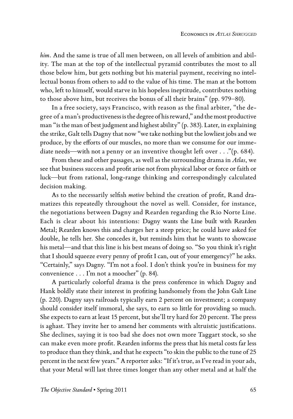*him.* And the same is true of all men between, on all levels of ambition and ability. The man at the top of the intellectual pyramid contributes the most to all those below him, but gets nothing but his material payment, receiving no intellectual bonus from others to add to the value of his time. The man at the bottom who, left to himself, would starve in his hopeless ineptitude, contributes nothing to those above him, but receives the bonus of all their brains" (pp. 979–80).

In a free society, says Francisco, with reason as the final arbiter, "the degree of a man's productiveness is the degree of his reward," and the most productive man "is the man of best judgment and highest ability" (p. 383). Later, in explaining the strike, Galt tells Dagny that now "we take nothing but the lowliest jobs and we produce, by the efforts of our muscles, no more than we consume for our immediate needs—with not a penny or an inventive thought left over . . ."(p. 684).

From these and other passages, as well as the surrounding drama in *Atlas*, we see that business success and profit arise not from physical labor or force or faith or luck—but from rational, long-range thinking and correspondingly calculated decision making.

As to the necessarily selfish *motive* behind the creation of profit, Rand dramatizes this repeatedly throughout the novel as well. Consider, for instance, the negotiations between Dagny and Rearden regarding the Rio Norte Line. Each is clear about his intentions: Dagny wants the Line built with Rearden Metal; Rearden knows this and charges her a steep price; he could have asked for double, he tells her. She concedes it, but reminds him that he wants to showcase his metal—and that this line is his best means of doing so. "So you think it's right that I should squeeze every penny of profit I can, out of your emergency?" he asks. "Certainly," says Dagny. "I'm not a fool. I don't think you're in business for my convenience . . . I'm not a moocher" (p. 84).

A particularly colorful drama is the press conference in which Dagny and Hank boldly state their interest in profiting handsomely from the John Galt Line (p. 220). Dagny says railroads typically earn 2 percent on investment; a company should consider itself immoral, she says, to earn so little for providing so much. She expects to earn at least 15 percent, but she'll try hard for 20 percent. The press is aghast. They invite her to amend her comments with altruistic justifications. She declines, saying it is too bad she does not own more Taggart stock, so she can make even more profit. Rearden informs the press that his metal costs far less to produce than they think, and that he expects "to skin the public to the tune of 25 percent in the next few years." A reporter asks: "If it's true, as I've read in your ads, that your Metal will last three times longer than any other metal and at half the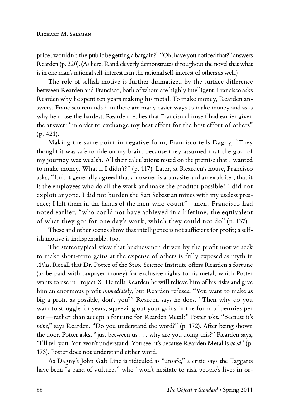price, wouldn't the public be getting a bargain?" "Oh, have you noticed that?" answers Rearden (p. 220). (As here, Rand cleverly demonstrates throughout the novel that what is in one man's rational self-interest is in the rational self-interest of others as well.)

The role of selfish motive is further dramatized by the surface difference between Rearden and Francisco, both of whom are highly intelligent. Francisco asks Rearden why he spent ten years making his metal. To make money, Rearden answers. Francisco reminds him there are many easier ways to make money and asks why he chose the hardest. Rearden replies that Francisco himself had earlier given the answer: "in order to exchange my best effort for the best effort of others" (p. 421).

Making the same point in negative form, Francisco tells Dagny, "They thought it was safe to ride on my brain, because they assumed that the goal of my journey was wealth. All their calculations rested on the premise that I wanted to make money. What if I didn't?" (p. 117). Later, at Rearden's house, Francisco asks, "Isn't it generally agreed that an owner is a parasite and an exploiter, that it is the employees who do all the work and make the product possible? I did not exploit anyone. I did not burden the San Sebastian mines with my useless presence; I left them in the hands of the men who count"—men, Francisco had noted earlier, "who could not have achieved in a lifetime, the equivalent of what they got for one day's work, which they could not do" (p. 137).

These and other scenes show that intelligence is not sufficient for profit; a selfish motive is indispensable, too.

The stereotypical view that businessmen driven by the profit motive seek to make short-term gains at the expense of others is fully exposed as myth in *Atlas*. Recall that Dr. Potter of the State Science Institute offers Rearden a fortune (to be paid with taxpayer money) for exclusive rights to his metal, which Potter wants to use in Project X. He tells Rearden he will relieve him of his risks and give him an enormous profit *immediately*, but Rearden refuses. "You want to make as big a profit as possible, don't you?" Rearden says he does. "Then why do you want to struggle for years, squeezing out your gains in the form of pennies per ton—rather than accept a fortune for Rearden Metal?" Potter asks. "Because it's *mine*," says Rearden. "Do you understand the word?" (p. 172). After being shown the door, Potter asks, "just between us . . . why are you doing this?" Rearden says, "I'll tell you. You won't understand. You see, it's because Rearden Metal is *good*" (p. 173). Potter does not understand either word.

As Dagny's John Galt Line is ridiculed as "unsafe," a critic says the Taggarts have been "a band of vultures" who "won't hesitate to risk people's lives in or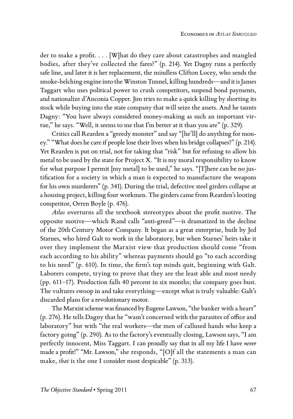der to make a profit. . . . [W]hat do they care about catastrophes and mangled bodies, after they've collected the fares?" (p. 214). Yet Dagny runs a perfectly safe line, and later it is her replacement, the mindless Clifton Locey, who sends the smoke-belching engine into the Winston Tunnel, killing hundreds—and it is James Taggart who uses political power to crush competitors, suspend bond payments, and nationalize d'Anconia Copper. Jim tries to make a quick killing by shorting its stock while buying into the state company that will seize the assets. And he taunts Dagny: "You have always considered money-making as such an important virtue," he says. "Well, it seems to me that I'm better at it than you are" (p. 329).

Critics call Rearden a "greedy monster" and say "[he'll] do anything for money." "What does he care if people lose their lives when his bridge collapses?" (p. 214). Yet Rearden is put on trial, not for taking that "risk" but for refusing to allow his metal to be used by the state for Project X. "It is my moral responsibility to know for what purpose I permit [my metal] to be used," he says. "[T]here can be no justification for a society in which a man is expected to manufacture the weapons for his own murderers" (p. 341). During the trial, defective steel girders collapse at a housing project, killing four workmen. The girders came from Rearden's looting competitor, Orren Boyle (p. 476).

*Atlas* overturns all the textbook stereotypes about the profit motive. The opposite motive—which Rand calls "anti-greed"—is dramatized in the decline of the 20th Century Motor Company. It began as a great enterprise, built by Jed Starnes, who hired Galt to work in the laboratory, but when Starnes' heirs take it over they implement the Marxist view that production should come "from each according to his ability" whereas payments should go "to each according to his need" (p. 610). In time, the firm's top minds quit, beginning with Galt. Laborers compete, trying to prove that they are the least able and most needy (pp. 611–17). Production falls 40 percent in six months; the company goes bust. The vultures swoop in and take everything—except what is truly valuable: Galt's discarded plans for a revolutionary motor.

The Marxist scheme was financed by Eugene Lawson, "the banker with a heart" (p. 276). He tells Dagny that he "wasn't concerned with the parasites of office and laboratory" but with "the real workers—the men of callused hands who keep a factory going" (p. 290). As to the factory's eventually closing, Lawson says, "I am perfectly innocent, Miss Taggart. I can proudly say that in all my life I have *never* made a profit!" "Mr. Lawson," she responds, "[O]f all the statements a man can make, *that* is the one I consider most despicable" (p. 313).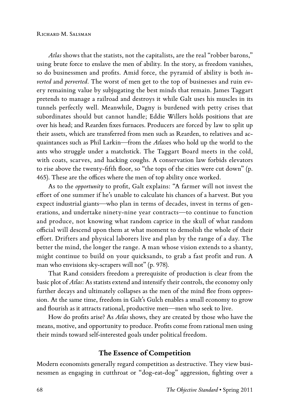*Atlas* shows that the statists, not the capitalists, are the real "robber barons," using brute force to enslave the men of ability. In the story, as freedom vanishes, so do businessmen and profits. Amid force, the pyramid of ability is both *inverted* and *perverted*. The worst of men get to the top of businesses and ruin every remaining value by subjugating the best minds that remain. James Taggart pretends to manage a railroad and destroys it while Galt uses his muscles in its tunnels perfectly well. Meanwhile, Dagny is burdened with petty crises that subordinates should but cannot handle; Eddie Willers holds positions that are over his head; and Rearden fixes furnaces. Producers are forced by law to split up their assets, which are transferred from men such as Rearden, to relatives and acquaintances such as Phil Larkin—from the *Atlas*es who hold up the world to the ants who struggle under a matchstick. The Taggart Board meets in the cold, with coats, scarves, and hacking coughs. A conservation law forbids elevators to rise above the twenty-fifth floor, so "the tops of the cities were cut down" (p. 465). These are the offices where the men of top ability once worked.

As to the *opportunity* to profit, Galt explains: "A farmer will not invest the effort of one summer if he's unable to calculate his chances of a harvest. But you expect industrial giants—who plan in terms of decades, invest in terms of generations, and undertake ninety-nine year contracts—to continue to function and produce, not knowing what random caprice in the skull of what random official will descend upon them at what moment to demolish the whole of their effort. Drifters and physical laborers live and plan by the range of a day. The better the mind, the longer the range. A man whose vision extends to a shanty, might continue to build on your quicksands, to grab a fast profit and run. A man who envisions sky-scrapers will not" (p. 978).

That Rand considers freedom a prerequisite of production is clear from the basic plot of *Atlas*: As statists extend and intensify their controls, the economy only further decays and ultimately collapses as the men of the mind flee from oppression. At the same time, freedom in Galt's Gulch enables a small economy to grow and flourish as it attracts rational, productive men—men who seek to live.

How do profits arise? As *Atlas* shows, they are created by those who have the means, motive, and opportunity to produce. Profits come from rational men using their minds toward self-interested goals under political freedom.

#### **The Essence of Competition**

Modern economists generally regard competition as destructive. They view businessmen as engaging in cutthroat or "dog-eat-dog" aggression, fighting over a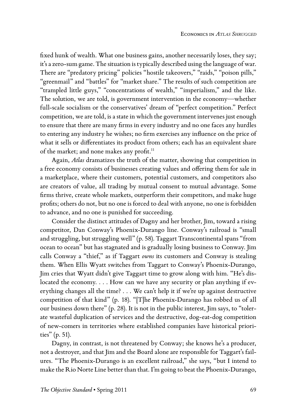fixed hunk of wealth. What one business gains, another necessarily loses, they say; it's a zero-sum game. The situation is typically described using the language of war. There are "predatory pricing" policies "hostile takeovers," "raids," "poison pills," "greenmail" and "battles" for "market share." The results of such competition are "trampled little guys," "concentrations of wealth," "imperialism," and the like. The solution, we are told, is government intervention in the economy—whether full-scale socialism or the conservatives' dream of "perfect competition." Perfect competition, we are told, is a state in which the government intervenes just enough to ensure that there are many firms in every industry and no one faces any hurdles to entering any industry he wishes; no firm exercises any influence on the price of what it sells or differentiates its product from others; each has an equivalent share of the market; and none makes any profit. $11$ 

Again, *Atlas* dramatizes the truth of the matter, showing that competition in a free economy consists of businesses creating values and offering them for sale in a marketplace, where their customers, potential customers, and competitors also are creators of value, all trading by mutual consent to mutual advantage. Some firms thrive, create whole markets, outperform their competitors, and make huge profits; others do not, but no one is forced to deal with anyone, no one is forbidden to advance, and no one is punished for succeeding.

Consider the distinct attitudes of Dagny and her brother, Jim, toward a rising competitor, Dan Conway's Phoenix-Durango line. Conway's railroad is "small and struggling, but struggling well" (p. 58). Taggart Transcontinental spans "from ocean to ocean" but has stagnated and is gradually losing business to Conway. Jim calls Conway a "thief," as if Taggart *owns* its customers and Conway is stealing them. When Ellis Wyatt switches from Taggart to Conway's Phoenix-Durango, Jim cries that Wyatt didn't give Taggart time to grow along with him. "He's dislocated the economy. . . . How can we have any security or plan anything if everything changes all the time? . . . We can't help it if we're up against destructive competition of that kind" (p. 18). "[T]he Phoenix-Durango has robbed us of all our business down there" (p. 28). It is not in the public interest, Jim says, to "tolerate wasteful duplication of services and the destructive, dog-eat-dog competition of new-comers in territories where established companies have historical priorities" (p. 51).

Dagny, in contrast, is not threatened by Conway; she knows he's a producer, not a destroyer, and that Jim and the Board alone are responsible for Taggart's failures. "The Phoenix-Durango is an excellent railroad," she says, "but I intend to make the Rio Norte Line better than that. I'm going to beat the Phoenix-Durango,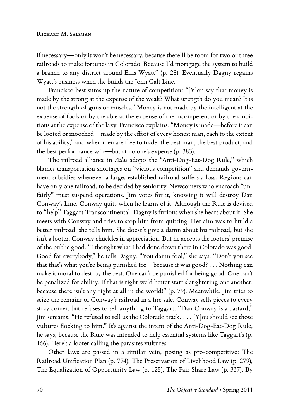if necessary—only it won't be necessary, because there'll be room for two or three railroads to make fortunes in Colorado. Because I'd mortgage the system to build a branch to any district around Ellis Wyatt" (p. 28). Eventually Dagny regains Wyatt's business when she builds the John Galt Line.

Francisco best sums up the nature of competition: "[Y]ou say that money is made by the strong at the expense of the weak? What strength do you mean? It is not the strength of guns or muscles." Money is not made by the intelligent at the expense of fools or by the able at the expense of the incompetent or by the ambitious at the expense of the lazy, Francisco explains. "Money is made—before it can be looted or mooched—made by the effort of every honest man, each to the extent of his ability," and when men are free to trade, the best man, the best product, and the best performance win—but at no one's expense (p. 383).

The railroad alliance in *Atlas* adopts the "Anti-Dog-Eat-Dog Rule," which blames transportation shortages on "vicious competition" and demands government subsidies whenever a large, established railroad suffers a loss. Regions can have only one railroad, to be decided by seniority. Newcomers who encroach "unfairly" must suspend operations. Jim votes for it, knowing it will destroy Dan Conway's Line. Conway quits when he learns of it. Although the Rule is devised to "help" Taggart Transcontinental, Dagny is furious when she hears about it. She meets with Conway and tries to stop him from quitting. Her aim was to build a better railroad, she tells him. She doesn't give a damn about his railroad, but she isn't a looter. Conway chuckles in appreciation. But he accepts the looters' premise of the public good. "I thought what I had done down there in Colorado was good. Good for everybody," he tells Dagny. "You damn fool," she says. "Don't you see that that's what you're being punished for—because it was good? . . . Nothing can make it moral to destroy the best. One can't be punished for being good. One can't be penalized for ability. If that is right we'd better start slaughtering one another, because there isn't any right at all in the world!" (p. 79). Meanwhile, Jim tries to seize the remains of Conway's railroad in a fire sale. Conway sells pieces to every stray comer, but refuses to sell anything to Taggart. "Dan Conway is a bastard," Jim screams. "He refused to sell us the Colorado track. . . . [Y]ou should see those vultures flocking to him." It's against the intent of the Anti-Dog-Eat-Dog Rule, he says, because the Rule was intended to help essential systems like Taggart's (p. 166). Here's a looter calling the parasites vultures.

Other laws are passed in a similar vein, posing as pro-competitive: The Railroad Unification Plan (p. 774), The Preservation of Livelihood Law (p. 279), The Equalization of Opportunity Law (p. 125), The Fair Share Law (p. 337). By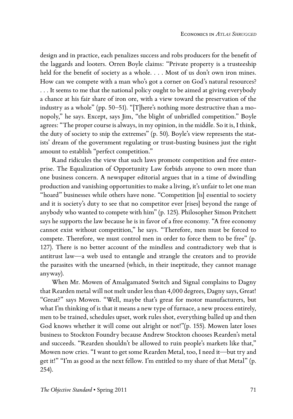design and in practice, each penalizes success and robs producers for the benefit of the laggards and looters. Orren Boyle claims: "Private property is a trusteeship held for the benefit of society as a whole. . . . Most of us don't own iron mines. How can we compete with a man who's got a corner on God's natural resources? ... It seems to me that the national policy ought to be aimed at giving everybody a chance at his fair share of iron ore, with a view toward the preservation of the industry as a whole" (pp. 50–51). "[T]here's nothing more destructive than a monopoly," he says. Except, says Jim, "the blight of unbridled competition." Boyle agrees: "The proper course is always, in my opinion, in the middle. So it is, I think, the duty of society to snip the extremes" (p. 50). Boyle's view represents the statists' dream of the government regulating or trust-busting business just the right amount to establish "perfect competition."

Rand ridicules the view that such laws promote competition and free enterprise. The Equalization of Opportunity Law forbids anyone to own more than one business concern. A newspaper editorial argues that in a time of dwindling production and vanishing opportunities to make a living, it's unfair to let one man "hoard" businesses while others have none. "Competition [is] essential to society and it is society's duty to see that no competitor ever [rises] beyond the range of anybody who wanted to compete with him" (p. 125). Philosopher Simon Pritchett says he supports the law because he is in favor of a free economy. "A free economy cannot exist without competition," he says. "Therefore, men must be forced to compete. Therefore, we must control men in order to force them to be free" (p. 127). There is no better account of the mindless and contradictory web that is antitrust law—a web used to entangle and strangle the creators and to provide the parasites with the unearned (which, in their ineptitude, they cannot manage anyway).

When Mr. Mowen of Amalgamated Switch and Signal complains to Dagny that Rearden metal will not melt under less than 4,000 degrees, Dagny says, Great! "Great?" says Mowen. "Well, maybe that's great for motor manufacturers, but what I'm thinking of is that it means a new type of furnace, a new process entirely, men to be trained, schedules upset, work rules shot, everything balled up and then God knows whether it will come out alright or not!"(p. 155). Mowen later loses business to Stockton Foundry because Andrew Stockton chooses Rearden's metal and succeeds. "Rearden shouldn't be allowed to ruin people's markets like that," Mowen now cries. "I want to get some Rearden Metal, too, I need it—but try and get it!" "I'm as good as the next fellow. I'm entitled to my share of that Metal" (p. 254).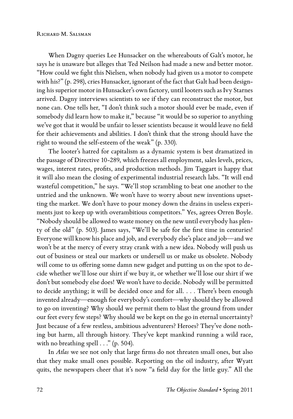When Dagny queries Lee Hunsacker on the whereabouts of Galt's motor, he says he is unaware but alleges that Ted Neilson had made a new and better motor. "How could we fight this Nielsen, when nobody had given us a motor to compete with his?" (p. 298), cries Hunsacker, ignorant of the fact that Galt had been designing his superior motor in Hunsacker's own factory, until looters such as Ivy Starnes arrived. Dagny interviews scientists to see if they can reconstruct the motor, but none can. One tells her, "I don't think such a motor should ever be made, even if somebody did learn how to make it," because "it would be so superior to anything we've got that it would be unfair to lesser scientists because it would leave no field for their achievements and abilities. I don't think that the strong should have the right to wound the self-esteem of the weak" (p. 330).

The looter's hatred for capitalism as a dynamic system is best dramatized in the passage of Directive 10-289, which freezes all employment, sales levels, prices, wages, interest rates, profits, and production methods. Jim Taggart is happy that it will also mean the closing of experimental industrial research labs. "It will end wasteful competition," he says. "We'll stop scrambling to beat one another to the untried and the unknown. We won't have to worry about new inventions upsetting the market. We don't have to pour money down the drains in useless experiments just to keep up with overambitious competitors." Yes, agrees Orren Boyle. "Nobody should be allowed to waste money on the new until everybody has plenty of the old" (p. 503). James says, "We'll be safe for the first time in centuries! Everyone will know his place and job, and everybody else's place and job—and we won't be at the mercy of every stray crank with a new idea. Nobody will push us out of business or steal our markets or undersell us or make us obsolete. Nobody will come to us offering some damn new gadget and putting us on the spot to decide whether we'll lose our shirt if we buy it, or whether we'll lose our shirt if we don't but somebody else does! We won't have to decide. Nobody will be permitted to decide anything; it will be decided once and for all. . . . There's been enough invented already—enough for everybody's comfort—why should they be allowed to go on inventing? Why should we permit them to blast the ground from under our feet every few steps? Why should we be kept on the go in eternal uncertainty? Just because of a few restless, ambitious adventurers? Heroes? They've done nothing but harm, all through history. They've kept mankind running a wild race, with no breathing spell  $\ldots$ " (p. 504).

In *Atlas* we see not only that large firms do not threaten small ones, but also that they make small ones possible. Reporting on the oil industry, after Wyatt quits, the newspapers cheer that it's now "a field day for the little guy." All the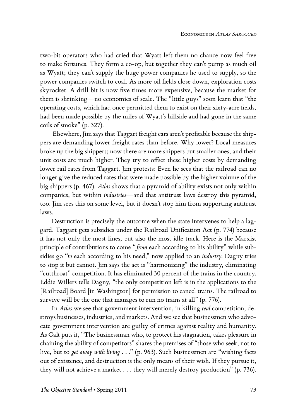two-bit operators who had cried that Wyatt left them no chance now feel free to make fortunes. They form a co-op, but together they can't pump as much oil as Wyatt; they can't supply the huge power companies he used to supply, so the power companies switch to coal. As more oil fields close down, exploration costs skyrocket. A drill bit is now five times more expensive, because the market for them is shrinking—no economies of scale. The "little guys" soon learn that "the operating costs, which had once permitted them to exist on their sixty-acre fields, had been made possible by the miles of Wyatt's hillside and had gone in the same coils of smoke" (p. 327).

Elsewhere, Jim says that Taggart freight cars aren't profitable because the shippers are demanding lower freight rates than before. Why lower? Local measures broke up the big shippers; now there are more shippers but smaller ones, and their unit costs are much higher. They try to offset these higher costs by demanding lower rail rates from Taggart. Jim protests: Even he sees that the railroad can no longer give the reduced rates that were made possible by the higher volume of the big shippers (p. 467). *Atlas* shows that a pyramid of ability exists not only within companies, but within *industries*—and that antitrust laws destroy this pyramid, too. Jim sees this on some level, but it doesn't stop him from supporting antitrust laws.

Destruction is precisely the outcome when the state intervenes to help a laggard. Taggart gets subsidies under the Railroad Unification Act (p. 774) because it has not only the most lines, but also the most idle track. Here is the Marxist principle of contributions to come " *from* each according to his ability" while subsidies go "*to* each according to his need," now applied to an *industry*. Dagny tries to stop it but cannot. Jim says the act is "harmonizing" the industry, eliminating "cutthroat" competition. It has eliminated 30 percent of the trains in the country. Eddie Willers tells Dagny, "the only competition left is in the applications to the [Railroad] Board [in Washington] for permission to cancel trains. The railroad to survive will be the one that manages to run no trains at all" (p. 776).

In *Atlas* we see that government intervention, in killing *real* competition, destroys businesses, industries, and markets. And we see that businessmen who advocate government intervention are guilty of crimes against reality and humanity. As Galt puts it, "The businessman who, to protect his stagnation, takes pleasure in chaining the ability of competitors" shares the premises of "those who seek, not to live, but to *get away with living* . . ." (p. 963). Such businessmen are "wishing facts out of existence, and destruction is the only means of their wish. If they pursue it, they will not achieve a market . . . they will merely destroy production" (p. 736).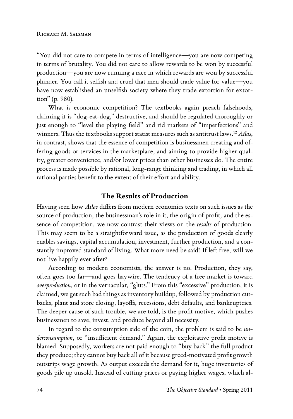"You did not care to compete in terms of intelligence—you are now competing in terms of brutality. You did not care to allow rewards to be won by successful production—you are now running a race in which rewards are won by successful plunder. You call it selfish and cruel that men should trade value for value—you have now established an unselfish society where they trade extortion for extortion" (p. 980).

What is economic competition? The textbooks again preach falsehoods, claiming it is "dog-eat-dog," destructive, and should be regulated thoroughly or just enough to "level the playing field" and rid markets of "imperfections" and winners. Thus the textbooks support statist measures such as antitrust laws.12 *Atlas*, in contrast, shows that the essence of competition is businessmen creating and offering goods or services in the marketplace, and aiming to provide higher quality, greater convenience, and/or lower prices than other businesses do. The entire process is made possible by rational, long-range thinking and trading, in which all rational parties benefit to the extent of their effort and ability.

# **The Results of Production**

Having seen how *Atlas* differs from modern economics texts on such issues as the source of production, the businessman's role in it, the origin of profit*,* and the essence of competition, we now contrast their views on the *results* of production. This may seem to be a straightforward issue, as the production of goods clearly enables savings, capital accumulation, investment, further production, and a constantly improved standard of living. What more need be said? If left free, will we not live happily ever after?

According to modern economists, the answer is no. Production, they say, often goes too far—and goes haywire. The tendency of a free market is toward *overproduction*, or in the vernacular, "gluts." From this "excessive" production, it is claimed, we get such bad things as inventory buildup, followed by production cutbacks, plant and store closing, layoffs, recessions, debt defaults, and bankruptcies. The deeper cause of such trouble, we are told, is the profit motive, which pushes businessmen to save, invest, and produce beyond all necessity.

In regard to the consumption side of the coin, the problem is said to be *underconsumption*, or "insufficient demand." Again, the exploitative profit motive is blamed. Supposedly, workers are not paid enough to "buy back" the full product they produce; they cannot buy back all of it because greed-motivated profit growth outstrips wage growth. As output exceeds the demand for it, huge inventories of goods pile up unsold. Instead of cutting prices or paying higher wages, which al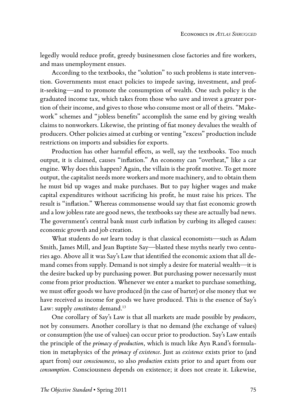legedly would reduce profit, greedy businessmen close factories and fire workers, and mass unemployment ensues.

According to the textbooks, the "solution" to such problems is state intervention. Governments must enact policies to impede saving, investment, and profit-seeking—and to promote the consumption of wealth. One such policy is the graduated income tax, which takes from those who save and invest a greater portion of their income, and gives to those who consume most or all of theirs. "Makework" schemes and "jobless benefits" accomplish the same end by giving wealth claims to nonworkers. Likewise, the printing of fiat money devalues the wealth of producers. Other policies aimed at curbing or venting "excess" production include restrictions on imports and subsidies for exports.

Production has other harmful effects, as well, say the textbooks. Too much output, it is claimed, causes "inflation." An economy can "overheat," like a car engine. Why does this happen? Again, the villain is the profit motive. To get more output, the capitalist needs more workers and more machinery, and to obtain them he must bid up wages and make purchases. But to pay higher wages and make capital expenditures without sacrificing his profit, he must raise his prices. The result is "inflation." Whereas commonsense would say that fast economic growth and a low jobless rate are good news, the textbooks say these are actually bad news. The government's central bank must curb inflation by curbing its alleged causes: economic growth and job creation.

What students do *not* learn today is that classical economists—such as Adam Smith, James Mill, and Jean Baptiste Say—blasted these myths nearly two centuries ago. Above all it was Say's Law that identified the economic axiom that all demand comes from supply. Demand is not simply a desire for material wealth—it is the desire backed up by purchasing power. But purchasing power necessarily must come from prior production. Whenever we enter a market to purchase something, we must offer goods we have produced (in the case of barter) or else money that we have received as income for goods we have produced. This is the essence of Say's Law: supply *constitutes* demand.<sup>13</sup>

One corollary of Say's Law is that all markets are made possible by *producers*, not by consumers. Another corollary is that no demand (the exchange of values) or consumption (the use of values) can occur prior to production. Say's Law entails the principle of the *primacy of production*, which is much like Ayn Rand's formulation in metaphysics of the *primacy of existence*. Just as *existence* exists prior to (and apart from) our *consciousness*, so also *production* exists prior to and apart from our *consumption*. Consciousness depends on existence; it does not create it. Likewise,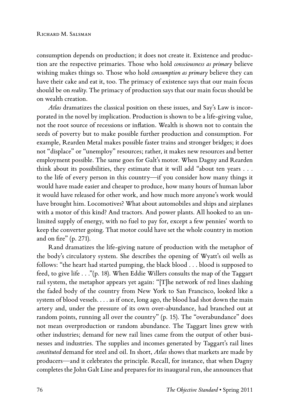consumption depends on production; it does not create it. Existence and production are the respective primaries. Those who hold *consciousness as primary* believe wishing makes things so. Those who hold *consumption as primary* believe they can have their cake and eat it, too. The primacy of existence says that our main focus should be on *reality*. The primacy of production says that our main focus should be on wealth creation.

*Atlas* dramatizes the classical position on these issues, and Say's Law is incorporated in the novel by implication. Production is shown to be a life-giving value, not the root source of recessions or inflation. Wealth is shown not to contain the seeds of poverty but to make possible further production and consumption. For example, Rearden Metal makes possible faster trains and stronger bridges; it does not "displace" or "unemploy" resources; rather, it makes new resources and better employment possible. The same goes for Galt's motor. When Dagny and Rearden think about its possibilities, they estimate that it will add "about ten years . . . to the life of every person in this country—if you consider how many things it would have made easier and cheaper to produce, how many hours of human labor it would have released for other work, and how much more anyone's work would have brought him. Locomotives? What about automobiles and ships and airplanes with a motor of this kind? And tractors. And power plants. All hooked to an unlimited supply of energy, with no fuel to pay for, except a few pennies' worth to keep the converter going. That motor could have set the whole country in motion and on fire" (p. 271).

Rand dramatizes the life-giving nature of production with the metaphor of the body's circulatory system. She describes the opening of Wyatt's oil wells as follows: "the heart had started pumping, the black blood . . . blood is supposed to feed, to give life . . ."(p. 18). When Eddie Willers consults the map of the Taggart rail system, the metaphor appears yet again: "[T]he network of red lines slashing the faded body of the country from New York to San Francisco, looked like a system of blood vessels. . . . as if once, long ago, the blood had shot down the main artery and, under the pressure of its own over-abundance, had branched out at random points, running all over the country" (p. 15). The "overabundance" does not mean overproduction or random abundance. The Taggart lines grew with other industries; demand for new rail lines came from the output of other businesses and industries. The supplies and incomes generated by Taggart's rail lines *constituted* demand for steel and oil. In short, *Atlas* shows that markets are made by producers—and it celebrates the principle. Recall, for instance, that when Dagny completes the John Galt Line and prepares for its inaugural run, she announces that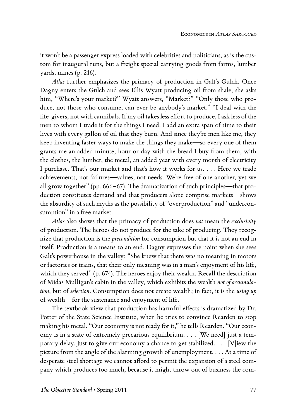it won't be a passenger express loaded with celebrities and politicians, as is the custom for inaugural runs, but a freight special carrying goods from farms, lumber yards, mines (p. 216).

*Atlas* further emphasizes the primacy of production in Galt's Gulch. Once Dagny enters the Gulch and sees Ellis Wyatt producing oil from shale, she asks him, "Where's your market?" Wyatt answers, "Market?" "Only those who produce, not those who consume, can ever be anybody's market." "I deal with the life-givers, not with cannibals. If my oil takes less effort to produce, I ask less of the men to whom I trade it for the things I need. I add an extra span of time to their lives with every gallon of oil that they burn. And since they're men like me, they keep inventing faster ways to make the things they make—so every one of them grants me an added minute, hour or day with the bread I buy from them, with the clothes, the lumber, the metal, an added year with every month of electricity I purchase. That's our market and that's how it works for us. . . . Here we trade achievements, not failures—values, not needs. We're free of one another, yet we all grow together" (pp. 666–67). The dramatization of such principles—that production constitutes demand and that producers alone comprise markets—shows the absurdity of such myths as the possibility of "overproduction" and "underconsumption" in a free market.

*Atlas* also shows that the primacy of production does *not* mean the *exclusivity* of production. The heroes do not produce for the sake of producing. They recognize that production is the *precondition* for consumption but that it is not an end in itself. Production is a means to an end. Dagny expresses the point when she sees Galt's powerhouse in the valley: "She knew that there was no meaning in motors or factories or trains, that their only meaning was in a man's enjoyment of his life, which they served" (p. 674). The heroes enjoy their wealth. Recall the description of Midas Mulligan's cabin in the valley, which exhibits the wealth *not of accumulation*, but of *selection*. Consumption does not create wealth; in fact, it is the *using up* of wealth—for the sustenance and enjoyment of life.

The textbook view that production has harmful effects is dramatized by Dr. Potter of the State Science Institute, when he tries to convince Rearden to stop making his metal. "Our economy is not ready for it," he tells Rearden. "Our economy is in a state of extremely precarious equilibrium. . . . [We need] just a temporary delay. Just to give our economy a chance to get stabilized. . . . [V]iew the picture from the angle of the alarming growth of unemployment. . . . At a time of desperate steel shortage we cannot afford to permit the expansion of a steel company which produces too much, because it might throw out of business the com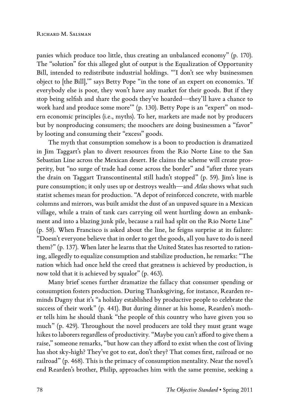panies which produce too little, thus creating an unbalanced economy" (p. 170). The "solution" for this alleged glut of output is the Equalization of Opportunity Bill, intended to redistribute industrial holdings. "'I don't see why businessmen object to [the Bill],'" says Betty Pope "in the tone of an expert on economics. 'If everybody else is poor, they won't have any market for their goods. But if they stop being selfish and share the goods they've hoarded—they'll have a chance to work hard and produce some more'" (p. 130). Betty Pope is an "expert" on modern economic principles (i.e., myths). To her, markets are made not by producers but by nonproducing consumers; the moochers are doing businessmen a "favor" by looting and consuming their "excess" goods.

The myth that consumption somehow is a boon to production is dramatized in Jim Taggart's plan to divert resources from the Rio Norte Line to the San Sebastian Line across the Mexican desert. He claims the scheme will create prosperity, but "no surge of trade had come across the border" and "after three years the drain on Taggart Transcontinental still hadn't stopped" (p. 59). Jim's line is pure consumption; it only uses up or destroys wealth—and *Atlas* shows what such statist schemes mean for production. "A depot of reinforced concrete, with marble columns and mirrors, was built amidst the dust of an unpaved square in a Mexican village, while a train of tank cars carrying oil went hurtling down an embankment and into a blazing junk pile, because a rail had split on the Rio Norte Line" (p. 58). When Francisco is asked about the line, he feigns surprise at its failure: "Doesn't everyone believe that in order to get the goods, all you have to do is need them?" (p. 137). When later he learns that the United States has resorted to rationing, allegedly to equalize consumption and stabilize production, he remarks: "The nation which had once held the creed that greatness is achieved by production, is now told that it is achieved by squalor" (p. 463).

Many brief scenes further dramatize the fallacy that consumer spending or consumption fosters production. During Thanksgiving, for instance, Rearden reminds Dagny that it's "a holiday established by productive people to celebrate the success of their work" (p. 441). But during dinner at his home, Rearden's mother tells him he should thank "the people of this country who have given you so much" (p. 429). Throughout the novel producers are told they must grant wage hikes to laborers regardless of productivity. "Maybe you can't afford to give them a raise," someone remarks, "but how can they afford to exist when the cost of living has shot sky-high? They've got to eat, don't they? That comes first, railroad or no railroad" (p. 468). This is the primacy of consumption mentality. Near the novel's end Rearden's brother, Philip, approaches him with the same premise, seeking a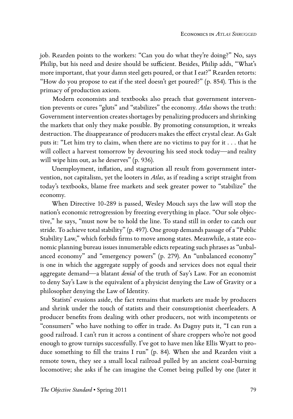job. Rearden points to the workers: "Can you do what they're doing?" No, says Philip, but his need and desire should be sufficient. Besides, Philip adds, "What's more important, that your damn steel gets poured, or that I eat?" Rearden retorts: "How do you propose to eat if the steel doesn't get poured?" (p. 854). This is the primacy of production axiom.

Modern economists and textbooks also preach that government intervention prevents or cures "gluts" and "stabilizes" the economy. *Atlas* shows the truth: Government intervention creates shortages by penalizing producers and shrinking the markets that only they make possible. By promoting consumption, it wreaks destruction. The disappearance of producers makes the effect crystal clear. As Galt puts it: "Let him try to claim, when there are no victims to pay for it . . . that he will collect a harvest tomorrow by devouring his seed stock today—and reality will wipe him out, as he deserves" (p. 936).

Unemployment, inflation, and stagnation all result from government intervention, not capitalism, yet the looters in *Atlas*, as if reading a script straight from today's textbooks, blame free markets and seek greater power to "stabilize" the economy.

When Directive 10-289 is passed, Wesley Mouch says the law will stop the nation's economic retrogression by freezing everything in place. "Our sole objective," he says, "must now be to hold the line. To stand still in order to catch our stride. To achieve total stability" (p. 497). One group demands passage of a "Public Stability Law," which forbids firms to move among states. Meanwhile, a state economic planning bureau issues innumerable edicts repeating such phrases as "unbalanced economy" and "emergency powers" (p. 279). An "unbalanced economy" is one in which the aggregate supply of goods and services does not equal their aggregate demand—a blatant *denial* of the truth of Say's Law. For an economist to deny Say's Law is the equivalent of a physicist denying the Law of Gravity or a philosopher denying the Law of Identity.

Statists' evasions aside, the fact remains that markets are made by producers and shrink under the touch of statists and their consumptionist cheerleaders. A producer benefits from dealing with other producers, not with incompetents or "consumers" who have nothing to offer in trade. As Dagny puts it, "I can run a good railroad. I can't run it across a continent of share croppers who're not good enough to grow turnips successfully. I've got to have men like Ellis Wyatt to produce something to fill the trains I run" (p. 84). When she and Rearden visit a remote town, they see a small local railroad pulled by an ancient coal-burning locomotive; she asks if he can imagine the Comet being pulled by one (later it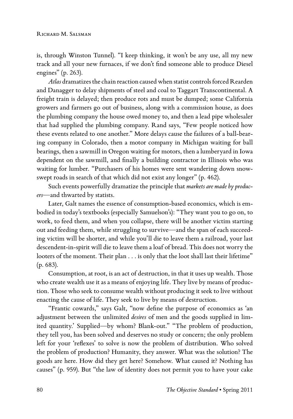is, through Winston Tunnel). "I keep thinking, it won't be any use, all my new track and all your new furnaces, if we don't find someone able to produce Diesel engines" (p. 263).

*Atlas* dramatizes the chain reaction caused when statist controls forced Rearden and Danagger to delay shipments of steel and coal to Taggart Transcontinental. A freight train is delayed; then produce rots and must be dumped; some California growers and farmers go out of business, along with a commission house, as does the plumbing company the house owed money to, and then a lead pipe wholesaler that had supplied the plumbing company. Rand says, "Few people noticed how these events related to one another." More delays cause the failures of a ball-bearing company in Colorado, then a motor company in Michigan waiting for ball bearings, then a sawmill in Oregon waiting for motors, then a lumberyard in Iowa dependent on the sawmill, and finally a building contractor in Illinois who was waiting for lumber. "Purchasers of his homes were sent wandering down snowswept roads in search of that which did not exist any longer" (p. 462).

Such events powerfully dramatize the principle that *markets are made by producers*—and thwarted by statists.

Later, Galt names the essence of consumption-based economics, which is embodied in today's textbooks (especially Samuelson's): "They want you to go on, to work, to feed them, and when you collapse, there will be another victim starting out and feeding them, while struggling to survive—and the span of each succeeding victim will be shorter, and while you'll die to leave them a railroad, your last descendent-in-spirit will die to leave them a loaf of bread. This does not worry the looters of the moment. Their plan . . . is only that the loot shall last their lifetime" (p. 683).

Consumption, at root, is an act of destruction, in that it uses up wealth. Those who create wealth use it as a means of enjoying life. They live by means of production. Those who seek to consume wealth without producing it seek to live without enacting the cause of life. They seek to live by means of destruction.

"Frantic cowards," says Galt, "now define the purpose of economics as 'an adjustment between the unlimited *desires* of men and the goods supplied in limited quantity.' Supplied—by whom? Blank-out." "The problem of production, they tell you, has been solved and deserves no study or concern; the only problem left for your 'reflexes' to solve is now the problem of distribution. Who solved the problem of production? Humanity, they answer. What was the solution? The goods are here. How did they get here? Somehow. What caused it? Nothing has causes" (p. 959). But "the law of identity does not permit you to have your cake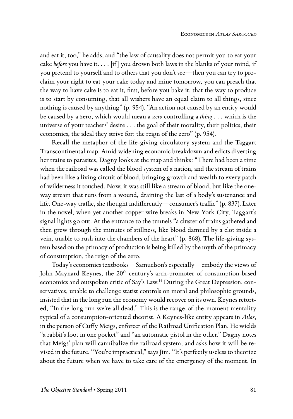and eat it, too," he adds, and "the law of causality does not permit you to eat your cake *before* you have it. . . . [if] you drown both laws in the blanks of your mind, if you pretend to yourself and to others that you don't see—then you can try to proclaim your right to eat your cake today and mine tomorrow, you can preach that the way to have cake is to eat it, first, before you bake it, that the way to produce is to start by consuming, that all wishers have an equal claim to all things, since nothing is caused by anything" (p. 954). "An action not caused by an entity would be caused by a zero, which would mean a *zero* controlling a *thing* . . . which is the universe of your teachers' desire . . . the goal of their morality, their politics, their economics, the ideal they strive for: the reign of the zero" (p. 954).

Recall the metaphor of the life-giving circulatory system and the Taggart Transcontinental map. Amid widening economic breakdown and edicts diverting her trains to parasites, Dagny looks at the map and thinks: "There had been a time when the railroad was called the blood system of a nation, and the stream of trains had been like a living circuit of blood, bringing growth and wealth to every patch of wilderness it touched. Now, it was still like a stream of blood, but like the oneway stream that runs from a wound, draining the last of a body's sustenance and life. One-way traffic, she thought indifferently—consumer's traffic" (p. 837). Later in the novel, when yet another copper wire breaks in New York City, Taggart's signal lights go out. At the entrance to the tunnels "a cluster of trains gathered and then grew through the minutes of stillness, like blood damned by a clot inside a vein, unable to rush into the chambers of the heart" (p. 868). The life-giving system based on the primacy of production is being killed by the myth of the primacy of consumption, the reign of the zero.

Today's economics textbooks—Samuelson's especially—embody the views of John Maynard Keynes, the 20<sup>th</sup> century's arch-promoter of consumption-based economics and outspoken critic of Say's Law.14 During the Great Depression, conservatives, unable to challenge statist controls on moral and philosophic grounds, insisted that in the long run the economy would recover on its own. Keynes retorted, "In the long run we're all dead." This is the range-of-the-moment mentality typical of a consumption-oriented theorist. A Keynes-like entity appears in *Atlas*, in the person of Cuffy Meigs, enforcer of the Railroad Unification Plan. He wields "a rabbit's foot in one pocket" and "an automatic pistol in the other." Dagny notes that Meigs' plan will cannibalize the railroad system, and asks how it will be revised in the future. "You're impractical," says Jim. "It's perfectly useless to theorize about the future when we have to take care of the emergency of the moment. In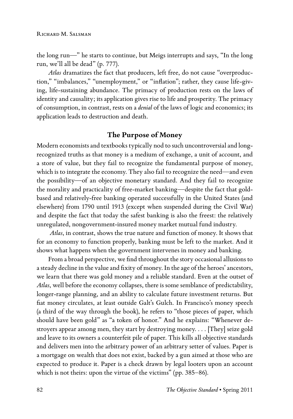the long run—" he starts to continue, but Meigs interrupts and says, "In the long run, we'll all be dead" (p. 777).

*Atlas* dramatizes the fact that producers, left free, do not cause "overproduction," "imbalances," "unemployment," or "inflation"; rather, they cause life-giving, life-sustaining abundance. The primacy of production rests on the laws of identity and causality; its application gives rise to life and prosperity. The primacy of consumption, in contrast, rests on a *denial* of the laws of logic and economics; its application leads to destruction and death.

### **The Purpose of Money**

Modern economists and textbooks typically nod to such uncontroversial and longrecognized truths as that money is a medium of exchange, a unit of account, and a store of value, but they fail to recognize the fundamental purpose of money, which is to integrate the economy. They also fail to recognize the need—and even the possibility—of an objective monetary standard. And they fail to recognize the morality and practicality of free-market banking—despite the fact that goldbased and relatively-free banking operated successfully in the United States (and elsewhere) from 1790 until 1913 (except when suspended during the Civil War) and despite the fact that today the safest banking is also the freest: the relatively unregulated, nongovernment-insured money market mutual fund industry.

*Atlas*, in contrast, shows the true nature and function of money. It shows that for an economy to function properly, banking must be left to the market. And it shows what happens when the government intervenes in money and banking.

From a broad perspective, we find throughout the story occasional allusions to a steady decline in the value and fixity of money. In the age of the heroes' ancestors, we learn that there was gold money and a reliable standard. Even at the outset of *Atlas*, well before the economy collapses, there is some semblance of predictability, longer-range planning, and an ability to calculate future investment returns. But fiat money circulates, at least outside Galt's Gulch. In Francisco's money speech (a third of the way through the book), he refers to "those pieces of paper, which should have been gold" as "a token of honor." And he explains: "Whenever destroyers appear among men, they start by destroying money. . . . [They] seize gold and leave to its owners a counterfeit pile of paper. This kills all objective standards and delivers men into the arbitrary power of an arbitrary setter of values. Paper is a mortgage on wealth that does not exist, backed by a gun aimed at those who are expected to produce it. Paper is a check drawn by legal looters upon an account which is not theirs: upon the virtue of the victims" (pp. 385–86).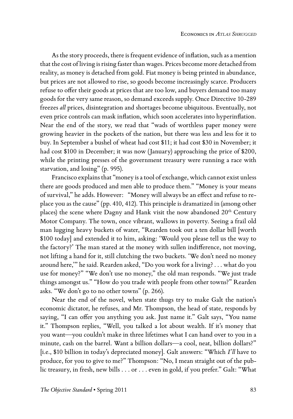As the story proceeds, there is frequent evidence of inflation, such as a mention that the cost of living is rising faster than wages. Prices become more detached from reality, as money is detached from gold. Fiat money is being printed in abundance, but prices are not allowed to rise, so goods become increasingly scarce. Producers refuse to offer their goods at prices that are too low, and buyers demand too many goods for the very same reason, so demand exceeds supply. Once Directive 10-289 freezes *all* prices, disintegration and shortages become ubiquitous. Eventually, not even price controls can mask inflation, which soon accelerates into hyperinflation. Near the end of the story, we read that "wads of worthless paper money were growing heavier in the pockets of the nation, but there was less and less for it to buy. In September a bushel of wheat had cost \$11; it had cost \$30 in November; it had cost \$100 in December; it was now (January) approaching the price of \$200, while the printing presses of the government treasury were running a race with starvation, and losing" (p. 995).

Francisco explains that "money is a tool of exchange, which cannot exist unless there are goods produced and men able to produce them." "Money is your means of survival," he adds. However: "Money will always be an effect and refuse to replace you as the cause" (pp. 410, 412). This principle is dramatized in (among other places) the scene where Dagny and Hank visit the now abandoned  $20<sup>th</sup>$  Century Motor Company. The town, once vibrant, wallows in poverty. Seeing a frail old man lugging heavy buckets of water, "Rearden took out a ten dollar bill [worth \$100 today] and extended it to him, asking: 'Would you please tell us the way to the factory?' The man stared at the money with sullen indifference, not moving, not lifting a hand for it, still clutching the two buckets. 'We don't need no money around here,'" he said. Rearden asked, "Do you work for a living? . . . what do you use for money?" "We don't use no money," the old man responds. "We just trade things amongst us." "How do you trade with people from other towns?" Rearden asks. "We don't go to no other towns" (p. 266).

Near the end of the novel, when state thugs try to make Galt the nation's economic dictator, he refuses, and Mr. Thompson, the head of state, responds by saying, "I can offer you anything you ask. Just name it." Galt says, "You name it." Thompson replies, "Well, you talked a lot about wealth. If it's money that you want—you couldn't make in three lifetimes what I can hand over to you in a minute, cash on the barrel. Want a billion dollars—a cool, neat, billion dollars?" [i.e., \$10 billion in today's depreciated money]. Galt answers: "Which *I'll* have to produce, for you to give to me?" Thompson: "No, I mean straight out of the public treasury, in fresh, new bills . . . or . . . even in gold, if you prefer." Galt: "What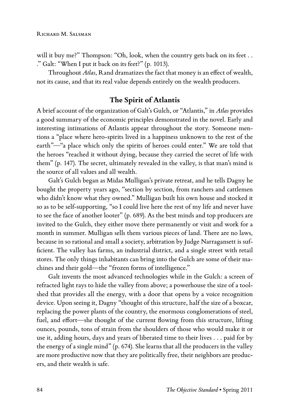will it buy me?" Thompson: "Oh, look, when the country gets back on its feet . . ." Galt: "When I put it back on its feet?" (p. 1013).

Throughout *Atlas*, Rand dramatizes the fact that money is an effect of wealth, not its cause, and that its real value depends entirely on the wealth producers.

# **The Spirit of Atlantis**

A brief account of the organization of Galt's Gulch, or "Atlantis," in *Atlas* provides a good summary of the economic principles demonstrated in the novel. Early and interesting intimations of Atlantis appear throughout the story. Someone mentions a "place where hero-spirits lived in a happiness unknown to the rest of the earth"—"a place which only the spirits of heroes could enter." We are told that the heroes "reached it without dying, because they carried the secret of life with them" (p. 147). The secret, ultimately revealed in the valley, is that man's mind is the source of all values and all wealth.

Galt's Gulch began as Midas Mulligan's private retreat, and he tells Dagny he bought the property years ago, "section by section, from ranchers and cattlemen who didn't know what they owned." Mulligan built his own house and stocked it so as to be self-supporting, "so I could live here the rest of my life and never have to see the face of another looter" (p. 689). As the best minds and top producers are invited to the Gulch, they either move there permanently or visit and work for a month in summer. Mulligan sells them various pieces of land. There are no laws, because in so rational and small a society, arbitration by Judge Narragansett is sufficient. The valley has farms, an industrial district, and a single street with retail stores. The only things inhabitants can bring into the Gulch are some of their machines and their gold—the "frozen forms of intelligence."

Galt invents the most advanced technologies while in the Gulch: a screen of refracted light rays to hide the valley from above; a powerhouse the size of a toolshed that provides all the energy, with a door that opens by a voice recognition device. Upon seeing it, Dagny "thought of this structure, half the size of a boxcar, replacing the power plants of the country, the enormous conglomerations of steel, fuel, and effort—she thought of the current flowing from this structure, lifting ounces, pounds, tons of strain from the shoulders of those who would make it or use it, adding hours, days and years of liberated time to their lives . . . paid for by the energy of a single mind" (p. 674). She learns that all the producers in the valley are more productive now that they are politically free, their neighbors are producers, and their wealth is safe.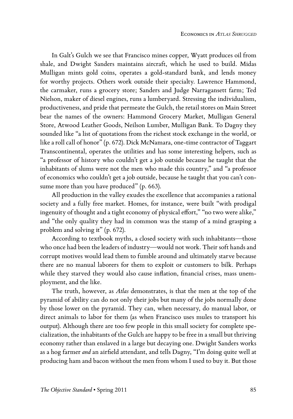In Galt's Gulch we see that Francisco mines copper, Wyatt produces oil from shale, and Dwight Sanders maintains aircraft, which he used to build. Midas Mulligan mints gold coins, operates a gold-standard bank, and lends money for worthy projects. Others work outside their specialty. Lawrence Hammond, the carmaker, runs a grocery store; Sanders and Judge Narragansett farm; Ted Nielson, maker of diesel engines, runs a lumberyard. Stressing the individualism, productiveness, and pride that permeate the Gulch, the retail stores on Main Street bear the names of the owners: Hammond Grocery Market, Mulligan General Store, Atwood Leather Goods, Neilson Lumber, Mulligan Bank. To Dagny they sounded like "a list of quotations from the richest stock exchange in the world, or like a roll call of honor" (p. 672). Dick McNamara, one-time contractor of Taggart Transcontinental, operates the utilities and has some interesting helpers, such as "a professor of history who couldn't get a job outside because he taught that the inhabitants of slums were not the men who made this country," and "a professor of economics who couldn't get a job outside, because he taught that you can't consume more than you have produced" (p. 663).

All production in the valley exudes the excellence that accompanies a rational society and a fully free market. Homes, for instance, were built "with prodigal ingenuity of thought and a tight economy of physical effort," "no two were alike," and "the only quality they had in common was the stamp of a mind grasping a problem and solving it" (p. 672).

According to textbook myths, a closed society with such inhabitants—those who once had been the leaders of industry—would not work. Their soft hands and corrupt motives would lead them to fumble around and ultimately starve because there are no manual laborers for them to exploit or customers to bilk. Perhaps while they starved they would also cause inflation, financial crises, mass unemployment, and the like.

The truth, however, as *Atlas* demonstrates, is that the men at the top of the pyramid of ability can do not only their jobs but many of the jobs normally done by those lower on the pyramid. They can, when necessary, do manual labor, or direct animals to labor for them (as when Francisco uses mules to transport his output). Although there are too few people in this small society for complete specialization, the inhabitants of the Gulch are happy to be free in a small but thriving economy rather than enslaved in a large but decaying one. Dwight Sanders works as a hog farmer *and* an airfield attendant, and tells Dagny, "I'm doing quite well at producing ham and bacon without the men from whom I used to buy it. But those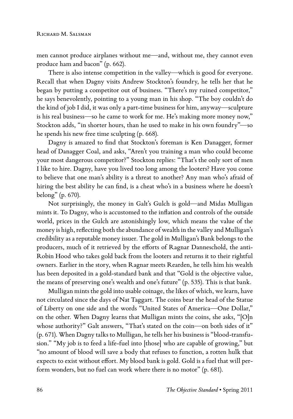men cannot produce airplanes without me—and, without me, they cannot even produce ham and bacon" (p. 662).

There is also intense competition in the valley—which is good for everyone. Recall that when Dagny visits Andrew Stockton's foundry, he tells her that he began by putting a competitor out of business. "There's my ruined competitor," he says benevolently, pointing to a young man in his shop. "The boy couldn't do the kind of job I did, it was only a part-time business for him, anyway—sculpture is his real business—so he came to work for me. He's making more money now," Stockton adds, "in shorter hours, than he used to make in his own foundry"—so he spends his new free time sculpting (p. 668).

Dagny is amazed to find that Stockton's foreman is Ken Danagger, former head of Danagger Coal, and asks, "Aren't you training a man who could become your most dangerous competitor?" Stockton replies: "That's the only sort of men I like to hire. Dagny, have you lived too long among the looters? Have you come to believe that one man's ability is a threat to another? Any man who's afraid of hiring the best ability he can find, is a cheat who's in a business where he doesn't belong" (p. 670).

Not surprisingly, the money in Galt's Gulch is gold—and Midas Mulligan mints it. To Dagny, who is accustomed to the inflation and controls of the outside world, prices in the Gulch are astonishingly low, which means the value of the money is high, reflecting both the abundance of wealth in the valley and Mulligan's credibility as a reputable money issuer. The gold in Mulligan's Bank belongs to the producers, much of it retrieved by the efforts of Ragnar Danneschold, the anti-Robin Hood who takes gold back from the looters and returns it to their rightful owners. Earlier in the story, when Ragnar meets Rearden, he tells him his wealth has been deposited in a gold-standard bank and that "Gold is the objective value, the means of preserving one's wealth and one's future" (p. 535). This is that bank.

Mulligan mints the gold into usable coinage, the likes of which, we learn, have not circulated since the days of Nat Taggart. The coins bear the head of the Statue of Liberty on one side and the words "United States of America—One Dollar," on the other. When Dagny learns that Mulligan mints the coins, she asks, "[O]n whose authority?" Galt answers, "That's stated on the coin—on both sides of it" (p. 671). When Dagny talks to Mulligan, he tells her his business is "blood-transfusion." "My job is to feed a life-fuel into [those] who are capable of growing," but "no amount of blood will save a body that refuses to function, a rotten hulk that expects to exist without effort. My blood bank is gold. Gold is a fuel that will perform wonders, but no fuel can work where there is no motor" (p. 681).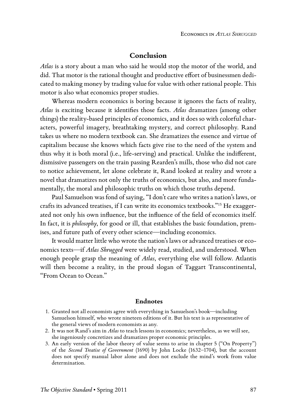# **Conclusion**

*Atlas* is a story about a man who said he would stop the motor of the world, and did. That motor is the rational thought and productive effort of businessmen dedicated to making money by trading value for value with other rational people. This motor is also what economics proper studies.

Whereas modern economics is boring because it ignores the facts of reality, *Atlas* is exciting because it identifies those facts. *Atlas* dramatizes (among other things) the reality-based principles of economics, and it does so with colorful characters, powerful imagery, breathtaking mystery, and correct philosophy. Rand takes us where no modern textbook can. She dramatizes the essence and virtue of capitalism because she knows which facts give rise to the need of the system and thus why it is both moral (i.e., life-serving) and practical. Unlike the indifferent, dismissive passengers on the train passing Rearden's mills, those who did not care to notice achievement, let alone celebrate it, Rand looked at reality and wrote a novel that dramatizes not only the truths of economics, but also, and more fundamentally, the moral and philosophic truths on which those truths depend.

Paul Samuelson was fond of saying, "I don't care who writes a nation's laws, or crafts its advanced treatises, if I can write its economics textbooks."15 He exaggerated not only his own influence, but the influence of the field of economics itself. In fact, it is *philosophy*, for good or ill, that establishes the basic foundation, premises, and future path of every other science—including economics.

It would matter little who wrote the nation's laws or advanced treatises or economics texts—if *Atlas Shrugged* were widely read, studied, and understood. When enough people grasp the meaning of *Atlas*, everything else will follow. Atlantis will then become a reality, in the proud slogan of Taggart Transcontinental, "From Ocean to Ocean."

#### **Endnotes**

- 1. Granted not all economists agree with everything in Samuelson's book—including Samuelson himself, who wrote nineteen editions of it. But his text is as representative of the general views of modern economists as any.
- 2. It was not Rand's aim in *Atlas* to teach lessons in economics; nevertheless, as we will see, she ingeniously concretizes and dramatizes proper economic principles.
- 3. An early version of the labor theory of value seems to arise in chapter 5 ("On Property") of the *Second Treatise of Government* (1690) by John Locke (1632–1704), but the account does not specify manual labor alone and does not exclude the mind's work from value determination.